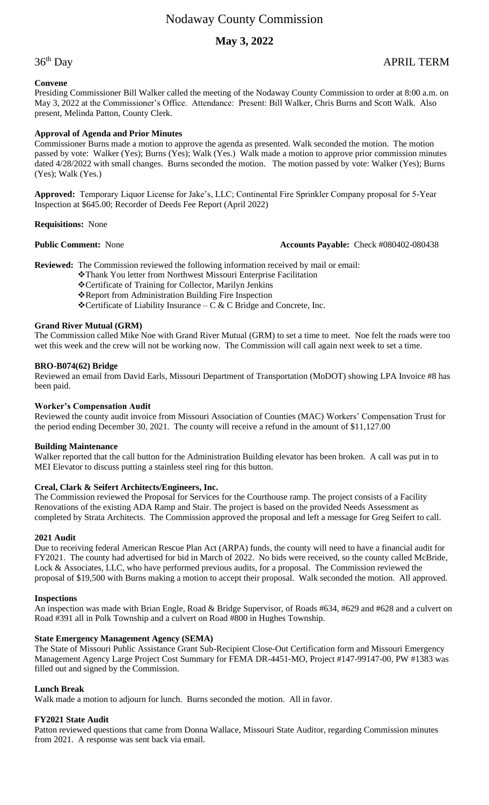# **May 3, 2022**

36<sup>th</sup> Day

# APRIL TERM

# **Convene**

Presiding Commissioner Bill Walker called the meeting of the Nodaway County Commission to order at 8:00 a.m. on May 3, 2022 at the Commissioner's Office. Attendance: Present: Bill Walker, Chris Burns and Scott Walk. Also present, Melinda Patton, County Clerk.

# **Approval of Agenda and Prior Minutes**

Commissioner Burns made a motion to approve the agenda as presented. Walk seconded the motion. The motion passed by vote: Walker (Yes); Burns (Yes); Walk (Yes.) Walk made a motion to approve prior commission minutes dated 4/28/2022 with small changes. Burns seconded the motion. The motion passed by vote: Walker (Yes); Burns (Yes); Walk (Yes.)

**Approved:** Temporary Liquor License for Jake's, LLC; Continental Fire Sprinkler Company proposal for 5-Year Inspection at \$645.00; Recorder of Deeds Fee Report (April 2022)

# **Requisitions:** None

# **Public Comment:** None **Accounts Payable:** Check #080402-080438

**Reviewed:** The Commission reviewed the following information received by mail or email:

❖Thank You letter from Northwest Missouri Enterprise Facilitation

❖Certificate of Training for Collector, Marilyn Jenkins

❖Report from Administration Building Fire Inspection

 **❖ Certificate of Liability Insurance** – C & C Bridge and Concrete, Inc.

# **Grand River Mutual (GRM)**

The Commission called Mike Noe with Grand River Mutual (GRM) to set a time to meet. Noe felt the roads were too wet this week and the crew will not be working now. The Commission will call again next week to set a time.

# **BRO-B074(62) Bridge**

Reviewed an email from David Earls, Missouri Department of Transportation (MoDOT) showing LPA Invoice #8 has been paid.

# **Worker's Compensation Audit**

Reviewed the county audit invoice from Missouri Association of Counties (MAC) Workers' Compensation Trust for the period ending December 30, 2021. The county will receive a refund in the amount of \$11,127.00

# **Building Maintenance**

Walker reported that the call button for the Administration Building elevator has been broken. A call was put in to MEI Elevator to discuss putting a stainless steel ring for this button.

# **Creal, Clark & Seifert Architects/Engineers, Inc.**

The Commission reviewed the Proposal for Services for the Courthouse ramp. The project consists of a Facility Renovations of the existing ADA Ramp and Stair. The project is based on the provided Needs Assessment as completed by Strata Architects. The Commission approved the proposal and left a message for Greg Seifert to call.

# **2021 Audit**

Due to receiving federal American Rescue Plan Act (ARPA) funds, the county will need to have a financial audit for FY2021. The county had advertised for bid in March of 2022. No bids were received, so the county called McBride, Lock & Associates, LLC, who have performed previous audits, for a proposal. The Commission reviewed the proposal of \$19,500 with Burns making a motion to accept their proposal. Walk seconded the motion. All approved.

# **Inspections**

An inspection was made with Brian Engle, Road & Bridge Supervisor, of Roads #634, #629 and #628 and a culvert on Road #391 all in Polk Township and a culvert on Road #800 in Hughes Township.

# **State Emergency Management Agency (SEMA)**

The State of Missouri Public Assistance Grant Sub-Recipient Close-Out Certification form and Missouri Emergency Management Agency Large Project Cost Summary for FEMA DR-4451-MO, Project #147-99147-00, PW #1383 was filled out and signed by the Commission.

# **Lunch Break**

Walk made a motion to adjourn for lunch. Burns seconded the motion. All in favor.

# **FY2021 State Audit**

Patton reviewed questions that came from Donna Wallace, Missouri State Auditor, regarding Commission minutes from 2021. A response was sent back via email.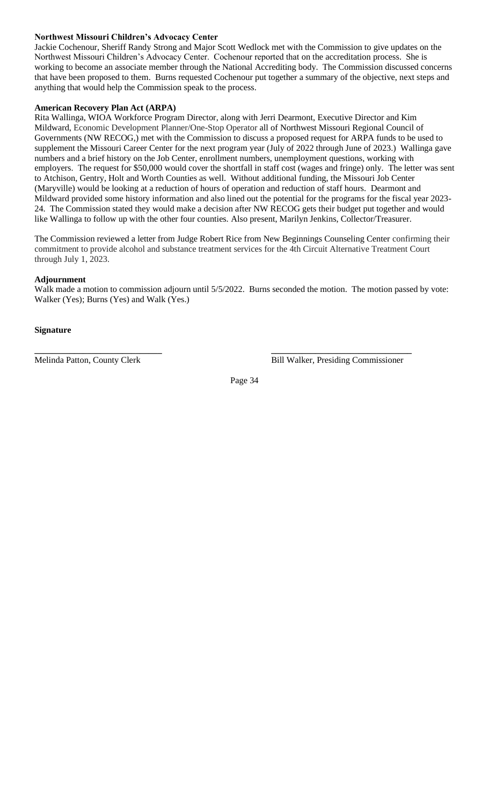# **Northwest Missouri Children's Advocacy Center**

Jackie Cochenour, Sheriff Randy Strong and Major Scott Wedlock met with the Commission to give updates on the Northwest Missouri Children's Advocacy Center. Cochenour reported that on the accreditation process. She is working to become an associate member through the National Accrediting body. The Commission discussed concerns that have been proposed to them. Burns requested Cochenour put together a summary of the objective, next steps and anything that would help the Commission speak to the process.

# **American Recovery Plan Act (ARPA)**

Rita Wallinga, WIOA Workforce Program Director, along with Jerri Dearmont, Executive Director and Kim Mildward, Economic Development Planner/One-Stop Operator all of Northwest Missouri Regional Council of Governments (NW RECOG,) met with the Commission to discuss a proposed request for ARPA funds to be used to supplement the Missouri Career Center for the next program year (July of 2022 through June of 2023.) Wallinga gave numbers and a brief history on the Job Center, enrollment numbers, unemployment questions, working with employers. The request for \$50,000 would cover the shortfall in staff cost (wages and fringe) only. The letter was sent to Atchison, Gentry, Holt and Worth Counties as well. Without additional funding, the Missouri Job Center (Maryville) would be looking at a reduction of hours of operation and reduction of staff hours. Dearmont and Mildward provided some history information and also lined out the potential for the programs for the fiscal year 2023- 24. The Commission stated they would make a decision after NW RECOG gets their budget put together and would like Wallinga to follow up with the other four counties. Also present, Marilyn Jenkins, Collector/Treasurer.

The Commission reviewed a letter from Judge Robert Rice from New Beginnings Counseling Center confirming their commitment to provide alcohol and substance treatment services for the 4th Circuit Alternative Treatment Court through July 1, 2023.

# **Adjournment**

Walk made a motion to commission adjourn until  $5/5/2022$ . Burns seconded the motion. The motion passed by vote: Walker (Yes); Burns (Yes) and Walk (Yes.)

# **Signature**

**\_\_\_\_\_\_\_\_\_\_\_\_\_\_\_\_\_\_\_\_\_\_\_\_\_\_\_\_\_ \_\_\_\_\_\_\_\_\_\_\_\_\_\_\_\_\_\_\_\_\_\_\_\_\_\_\_\_\_\_\_\_** Melinda Patton, County Clerk Bill Walker, Presiding Commissioner

Page 34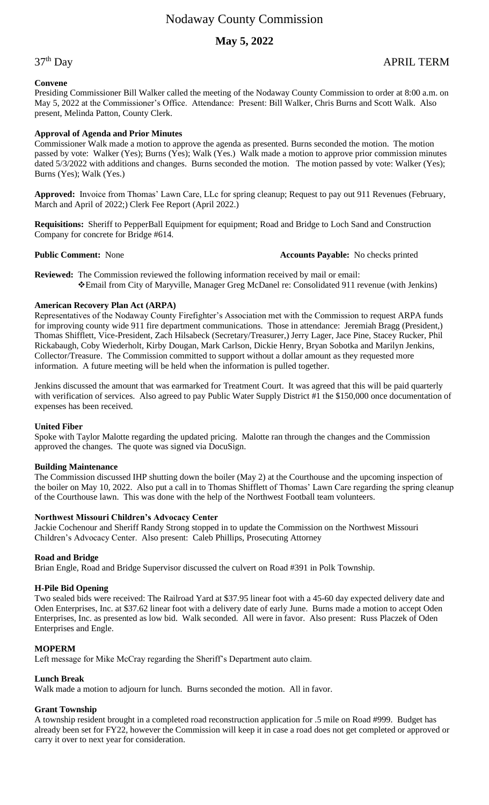# **May 5, 2022**

## **Convene**

Presiding Commissioner Bill Walker called the meeting of the Nodaway County Commission to order at 8:00 a.m. on May 5, 2022 at the Commissioner's Office. Attendance: Present: Bill Walker, Chris Burns and Scott Walk. Also present, Melinda Patton, County Clerk.

## **Approval of Agenda and Prior Minutes**

Commissioner Walk made a motion to approve the agenda as presented. Burns seconded the motion. The motion passed by vote: Walker (Yes); Burns (Yes); Walk (Yes.) Walk made a motion to approve prior commission minutes dated 5/3/2022 with additions and changes. Burns seconded the motion. The motion passed by vote: Walker (Yes); Burns (Yes); Walk (Yes.)

**Approved:** Invoice from Thomas' Lawn Care, LLc for spring cleanup; Request to pay out 911 Revenues (February, March and April of 2022;) Clerk Fee Report (April 2022.)

**Requisitions:** Sheriff to PepperBall Equipment for equipment; Road and Bridge to Loch Sand and Construction Company for concrete for Bridge #614.

**Public Comment:** None **Accounts Payable:** No checks printed

**Reviewed:** The Commission reviewed the following information received by mail or email: ❖Email from City of Maryville, Manager Greg McDanel re: Consolidated 911 revenue (with Jenkins)

## **American Recovery Plan Act (ARPA)**

Representatives of the Nodaway County Firefighter's Association met with the Commission to request ARPA funds for improving county wide 911 fire department communications. Those in attendance: Jeremiah Bragg (President,) Thomas Shifflett, Vice-President, Zach Hilsabeck (Secretary/Treasurer,) Jerry Lager, Jace Pine, Stacey Rucker, Phil Rickabaugh, Coby Wiederholt, Kirby Dougan, Mark Carlson, Dickie Henry, Bryan Sobotka and Marilyn Jenkins, Collector/Treasure. The Commission committed to support without a dollar amount as they requested more information. A future meeting will be held when the information is pulled together.

Jenkins discussed the amount that was earmarked for Treatment Court. It was agreed that this will be paid quarterly with verification of services. Also agreed to pay Public Water Supply District #1 the \$150,000 once documentation of expenses has been received.

#### **United Fiber**

Spoke with Taylor Malotte regarding the updated pricing. Malotte ran through the changes and the Commission approved the changes. The quote was signed via DocuSign.

#### **Building Maintenance**

The Commission discussed IHP shutting down the boiler (May 2) at the Courthouse and the upcoming inspection of the boiler on May 10, 2022. Also put a call in to Thomas Shifflett of Thomas' Lawn Care regarding the spring cleanup of the Courthouse lawn. This was done with the help of the Northwest Football team volunteers.

# **Northwest Missouri Children's Advocacy Center**

Jackie Cochenour and Sheriff Randy Strong stopped in to update the Commission on the Northwest Missouri Children's Advocacy Center. Also present: Caleb Phillips, Prosecuting Attorney

# **Road and Bridge**

Brian Engle, Road and Bridge Supervisor discussed the culvert on Road #391 in Polk Township.

# **H-Pile Bid Opening**

Two sealed bids were received: The Railroad Yard at \$37.95 linear foot with a 45-60 day expected delivery date and Oden Enterprises, Inc. at \$37.62 linear foot with a delivery date of early June. Burns made a motion to accept Oden Enterprises, Inc. as presented as low bid. Walk seconded. All were in favor. Also present: Russ Placzek of Oden Enterprises and Engle.

# **MOPERM**

Left message for Mike McCray regarding the Sheriff's Department auto claim.

# **Lunch Break**

Walk made a motion to adjourn for lunch. Burns seconded the motion. All in favor.

# **Grant Township**

A township resident brought in a completed road reconstruction application for .5 mile on Road #999. Budget has already been set for FY22, however the Commission will keep it in case a road does not get completed or approved or carry it over to next year for consideration.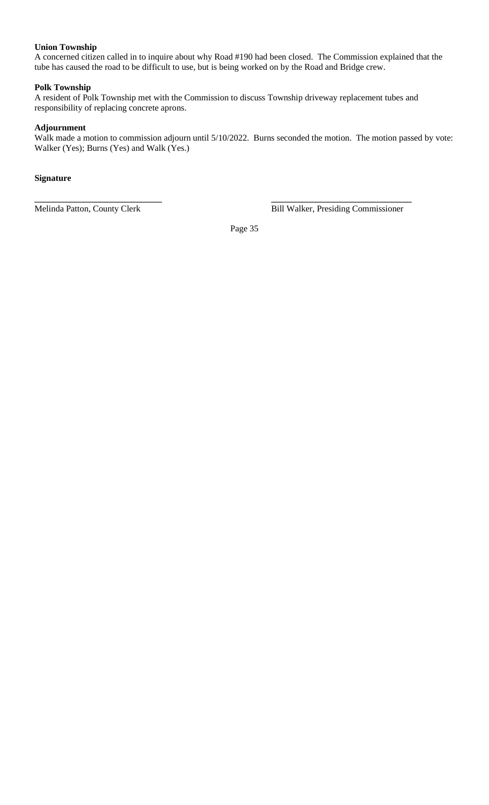# **Union Township**

A concerned citizen called in to inquire about why Road #190 had been closed. The Commission explained that the tube has caused the road to be difficult to use, but is being worked on by the Road and Bridge crew.

# **Polk Township**

A resident of Polk Township met with the Commission to discuss Township driveway replacement tubes and responsibility of replacing concrete aprons.

**\_\_\_\_\_\_\_\_\_\_\_\_\_\_\_\_\_\_\_\_\_\_\_\_\_\_\_\_\_ \_\_\_\_\_\_\_\_\_\_\_\_\_\_\_\_\_\_\_\_\_\_\_\_\_\_\_\_\_\_\_\_**

# **Adjournment**

Walk made a motion to commission adjourn until 5/10/2022. Burns seconded the motion. The motion passed by vote: Walker (Yes); Burns (Yes) and Walk (Yes.)

# **Signature**

Melinda Patton, County Clerk Bill Walker, Presiding Commissioner

Page 35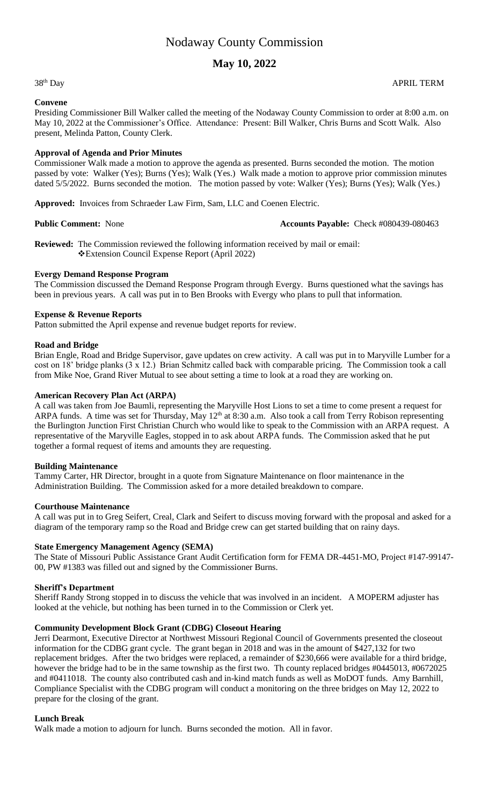# **May 10, 2022**

38<sup>th</sup> Day

## **Convene**

Presiding Commissioner Bill Walker called the meeting of the Nodaway County Commission to order at 8:00 a.m. on May 10, 2022 at the Commissioner's Office. Attendance: Present: Bill Walker, Chris Burns and Scott Walk. Also present, Melinda Patton, County Clerk.

# **Approval of Agenda and Prior Minutes**

Commissioner Walk made a motion to approve the agenda as presented. Burns seconded the motion. The motion passed by vote: Walker (Yes); Burns (Yes); Walk (Yes.) Walk made a motion to approve prior commission minutes dated 5/5/2022. Burns seconded the motion. The motion passed by vote: Walker (Yes); Burns (Yes); Walk (Yes.)

**Approved:** Invoices from Schraeder Law Firm, Sam, LLC and Coenen Electric.

## **Public Comment:** None **Accounts Payable:** Check #080439-080463

**Reviewed:** The Commission reviewed the following information received by mail or email: ❖Extension Council Expense Report (April 2022)

# **Evergy Demand Response Program**

The Commission discussed the Demand Response Program through Evergy. Burns questioned what the savings has been in previous years. A call was put in to Ben Brooks with Evergy who plans to pull that information.

# **Expense & Revenue Reports**

Patton submitted the April expense and revenue budget reports for review.

# **Road and Bridge**

Brian Engle, Road and Bridge Supervisor, gave updates on crew activity. A call was put in to Maryville Lumber for a cost on 18' bridge planks (3 x 12.) Brian Schmitz called back with comparable pricing. The Commission took a call from Mike Noe, Grand River Mutual to see about setting a time to look at a road they are working on.

# **American Recovery Plan Act (ARPA)**

A call was taken from Joe Baumli, representing the Maryville Host Lions to set a time to come present a request for ARPA funds. A time was set for Thursday, May 12<sup>th</sup> at 8:30 a.m. Also took a call from Terry Robison representing the Burlington Junction First Christian Church who would like to speak to the Commission with an ARPA request. A representative of the Maryville Eagles, stopped in to ask about ARPA funds. The Commission asked that he put together a formal request of items and amounts they are requesting.

# **Building Maintenance**

Tammy Carter, HR Director, brought in a quote from Signature Maintenance on floor maintenance in the Administration Building. The Commission asked for a more detailed breakdown to compare.

# **Courthouse Maintenance**

A call was put in to Greg Seifert, Creal, Clark and Seifert to discuss moving forward with the proposal and asked for a diagram of the temporary ramp so the Road and Bridge crew can get started building that on rainy days.

# **State Emergency Management Agency (SEMA)**

The State of Missouri Public Assistance Grant Audit Certification form for FEMA DR-4451-MO, Project #147-99147- 00, PW #1383 was filled out and signed by the Commissioner Burns.

# **Sheriff's Department**

Sheriff Randy Strong stopped in to discuss the vehicle that was involved in an incident. A MOPERM adjuster has looked at the vehicle, but nothing has been turned in to the Commission or Clerk yet.

# **Community Development Block Grant (CDBG) Closeout Hearing**

Jerri Dearmont, Executive Director at Northwest Missouri Regional Council of Governments presented the closeout information for the CDBG grant cycle. The grant began in 2018 and was in the amount of \$427,132 for two replacement bridges. After the two bridges were replaced, a remainder of \$230,666 were available for a third bridge, however the bridge had to be in the same township as the first two. Th county replaced bridges #0445013, #0672025 and #0411018. The county also contributed cash and in-kind match funds as well as MoDOT funds. Amy Barnhill, Compliance Specialist with the CDBG program will conduct a monitoring on the three bridges on May 12, 2022 to prepare for the closing of the grant.

# **Lunch Break**

Walk made a motion to adjourn for lunch. Burns seconded the motion. All in favor.

APRIL TERM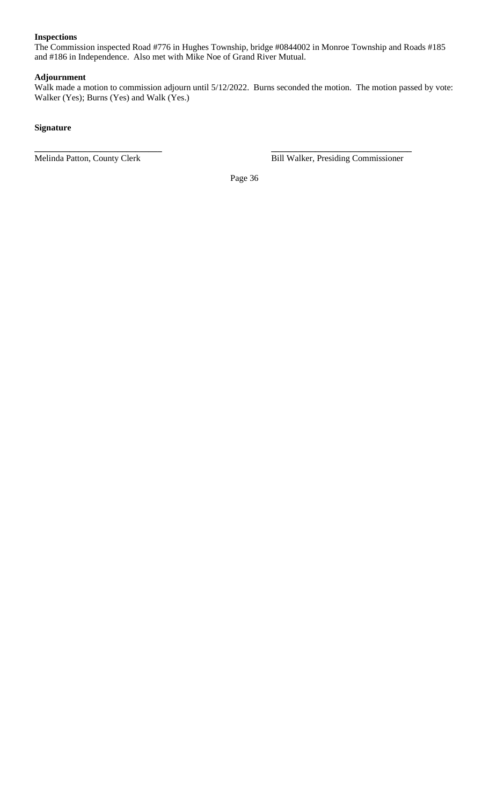# **Inspections**

The Commission inspected Road #776 in Hughes Township, bridge #0844002 in Monroe Township and Roads #185 and #186 in Independence. Also met with Mike Noe of Grand River Mutual.

# **Adjournment**

Walk made a motion to commission adjourn until 5/12/2022. Burns seconded the motion. The motion passed by vote: Walker (Yes); Burns (Yes) and Walk (Yes.)

# **Signature**

Melinda Patton, County Clerk Bill Walker, Presiding Commissioner

Page 36

**\_\_\_\_\_\_\_\_\_\_\_\_\_\_\_\_\_\_\_\_\_\_\_\_\_\_\_\_\_ \_\_\_\_\_\_\_\_\_\_\_\_\_\_\_\_\_\_\_\_\_\_\_\_\_\_\_\_\_\_\_\_**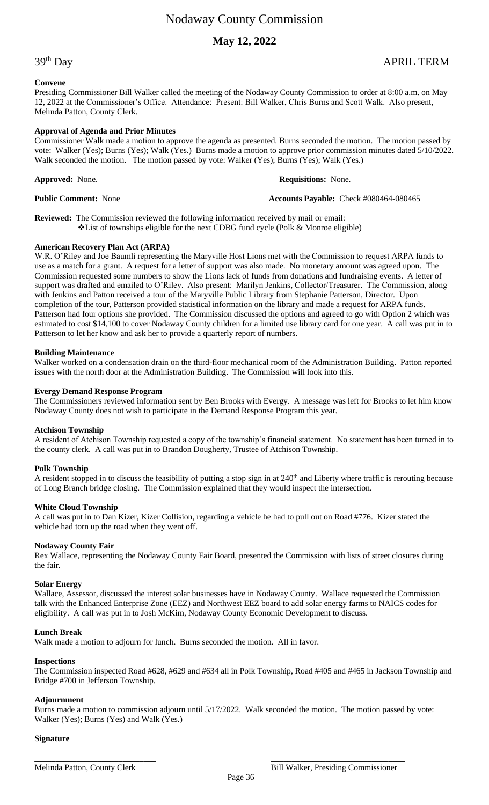# **May 12, 2022**

# 39th Day APRIL TERM

# **Convene**

Presiding Commissioner Bill Walker called the meeting of the Nodaway County Commission to order at 8:00 a.m. on May 12, 2022 at the Commissioner's Office. Attendance: Present: Bill Walker, Chris Burns and Scott Walk. Also present, Melinda Patton, County Clerk.

# **Approval of Agenda and Prior Minutes**

Commissioner Walk made a motion to approve the agenda as presented. Burns seconded the motion. The motion passed by vote: Walker (Yes); Burns (Yes); Walk (Yes.) Burns made a motion to approve prior commission minutes dated 5/10/2022. Walk seconded the motion. The motion passed by vote: Walker (Yes); Burns (Yes); Walk (Yes.)

**Approved:** None. **Requisitions:** None.

**Public Comment:** None **Accounts Payable:** Check #080464-080465

**Reviewed:** The Commission reviewed the following information received by mail or email: ❖List of townships eligible for the next CDBG fund cycle (Polk & Monroe eligible)

## **American Recovery Plan Act (ARPA)**

W.R. O'Riley and Joe Baumli representing the Maryville Host Lions met with the Commission to request ARPA funds to use as a match for a grant. A request for a letter of support was also made. No monetary amount was agreed upon. The Commission requested some numbers to show the Lions lack of funds from donations and fundraising events. A letter of support was drafted and emailed to O'Riley. Also present: Marilyn Jenkins, Collector/Treasurer. The Commission, along with Jenkins and Patton received a tour of the Maryville Public Library from Stephanie Patterson, Director. Upon completion of the tour, Patterson provided statistical information on the library and made a request for ARPA funds. Patterson had four options she provided. The Commission discussed the options and agreed to go with Option 2 which was estimated to cost \$14,100 to cover Nodaway County children for a limited use library card for one year. A call was put in to Patterson to let her know and ask her to provide a quarterly report of numbers.

## **Building Maintenance**

Walker worked on a condensation drain on the third-floor mechanical room of the Administration Building. Patton reported issues with the north door at the Administration Building. The Commission will look into this.

## **Evergy Demand Response Program**

The Commissioners reviewed information sent by Ben Brooks with Evergy. A message was left for Brooks to let him know Nodaway County does not wish to participate in the Demand Response Program this year.

#### **Atchison Township**

A resident of Atchison Township requested a copy of the township's financial statement. No statement has been turned in to the county clerk. A call was put in to Brandon Dougherty, Trustee of Atchison Township.

#### **Polk Township**

A resident stopped in to discuss the feasibility of putting a stop sign in at 240<sup>th</sup> and Liberty where traffic is rerouting because of Long Branch bridge closing. The Commission explained that they would inspect the intersection.

#### **White Cloud Township**

A call was put in to Dan Kizer, Kizer Collision, regarding a vehicle he had to pull out on Road #776. Kizer stated the vehicle had torn up the road when they went off.

# **Nodaway County Fair**

Rex Wallace, representing the Nodaway County Fair Board, presented the Commission with lists of street closures during the fair.

#### **Solar Energy**

Wallace, Assessor, discussed the interest solar businesses have in Nodaway County. Wallace requested the Commission talk with the Enhanced Enterprise Zone (EEZ) and Northwest EEZ board to add solar energy farms to NAICS codes for eligibility. A call was put in to Josh McKim, Nodaway County Economic Development to discuss.

# **Lunch Break**

Walk made a motion to adjourn for lunch. Burns seconded the motion. All in favor.

#### **Inspections**

The Commission inspected Road #628, #629 and #634 all in Polk Township, Road #405 and #465 in Jackson Township and Bridge #700 in Jefferson Township.

#### **Adjournment**

Burns made a motion to commission adjourn until 5/17/2022. Walk seconded the motion. The motion passed by vote: Walker (Yes); Burns (Yes) and Walk (Yes.)

**\_\_\_\_\_\_\_\_\_\_\_\_\_\_\_\_\_\_\_\_\_\_\_\_\_\_\_\_\_ \_\_\_\_\_\_\_\_\_\_\_\_\_\_\_\_\_\_\_\_\_\_\_\_\_\_\_\_\_\_\_\_**

#### **Signature**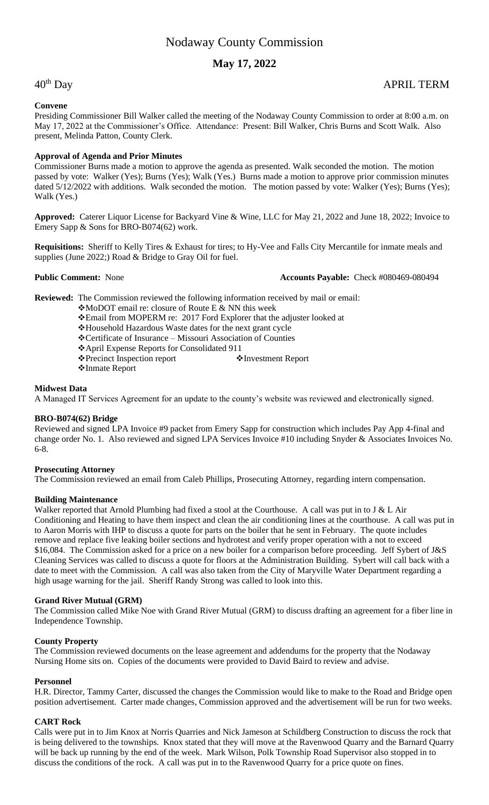# **May 17, 2022**

# **Convene**

# Presiding Commissioner Bill Walker called the meeting of the Nodaway County Commission to order at 8:00 a.m. on May 17, 2022 at the Commissioner's Office. Attendance: Present: Bill Walker, Chris Burns and Scott Walk. Also present, Melinda Patton, County Clerk.

# **Approval of Agenda and Prior Minutes**

Commissioner Burns made a motion to approve the agenda as presented. Walk seconded the motion. The motion passed by vote: Walker (Yes); Burns (Yes); Walk (Yes.) Burns made a motion to approve prior commission minutes dated 5/12/2022 with additions. Walk seconded the motion. The motion passed by vote: Walker (Yes); Burns (Yes); Walk (Yes.)

**Approved:** Caterer Liquor License for Backyard Vine & Wine, LLC for May 21, 2022 and June 18, 2022; Invoice to Emery Sapp & Sons for BRO-B074(62) work.

**Requisitions:** Sheriff to Kelly Tires & Exhaust for tires; to Hy-Vee and Falls City Mercantile for inmate meals and supplies (June 2022;) Road & Bridge to Gray Oil for fuel.

## **Public Comment:** None **Accounts Payable:** Check #080469-080494

**Reviewed:** The Commission reviewed the following information received by mail or email:

- ❖MoDOT email re: closure of Route E & NN this week
- ❖Email from MOPERM re: 2017 Ford Explorer that the adjuster looked at
- ❖Household Hazardous Waste dates for the next grant cycle
- ❖Certificate of Insurance Missouri Association of Counties
- ❖April Expense Reports for Consolidated 911
- ❖Precinct Inspection report ❖Investment Report
- ❖Inmate Report

# **Midwest Data**

A Managed IT Services Agreement for an update to the county's website was reviewed and electronically signed.

# **BRO-B074(62) Bridge**

Reviewed and signed LPA Invoice #9 packet from Emery Sapp for construction which includes Pay App 4-final and change order No. 1. Also reviewed and signed LPA Services Invoice #10 including Snyder & Associates Invoices No. 6-8.

# **Prosecuting Attorney**

The Commission reviewed an email from Caleb Phillips, Prosecuting Attorney, regarding intern compensation.

# **Building Maintenance**

Walker reported that Arnold Plumbing had fixed a stool at the Courthouse. A call was put in to J & L Air Conditioning and Heating to have them inspect and clean the air conditioning lines at the courthouse. A call was put in to Aaron Morris with IHP to discuss a quote for parts on the boiler that he sent in February. The quote includes remove and replace five leaking boiler sections and hydrotest and verify proper operation with a not to exceed \$16,084. The Commission asked for a price on a new boiler for a comparison before proceeding. Jeff Sybert of J&S Cleaning Services was called to discuss a quote for floors at the Administration Building. Sybert will call back with a date to meet with the Commission. A call was also taken from the City of Maryville Water Department regarding a high usage warning for the jail. Sheriff Randy Strong was called to look into this.

# **Grand River Mutual (GRM)**

The Commission called Mike Noe with Grand River Mutual (GRM) to discuss drafting an agreement for a fiber line in Independence Township.

# **County Property**

The Commission reviewed documents on the lease agreement and addendums for the property that the Nodaway Nursing Home sits on. Copies of the documents were provided to David Baird to review and advise.

# **Personnel**

H.R. Director, Tammy Carter, discussed the changes the Commission would like to make to the Road and Bridge open position advertisement. Carter made changes, Commission approved and the advertisement will be run for two weeks.

# **CART Rock**

Calls were put in to Jim Knox at Norris Quarries and Nick Jameson at Schildberg Construction to discuss the rock that is being delivered to the townships. Knox stated that they will move at the Ravenwood Quarry and the Barnard Quarry will be back up running by the end of the week. Mark Wilson, Polk Township Road Supervisor also stopped in to discuss the conditions of the rock. A call was put in to the Ravenwood Quarry for a price quote on fines.

# 40th Day APRIL TERM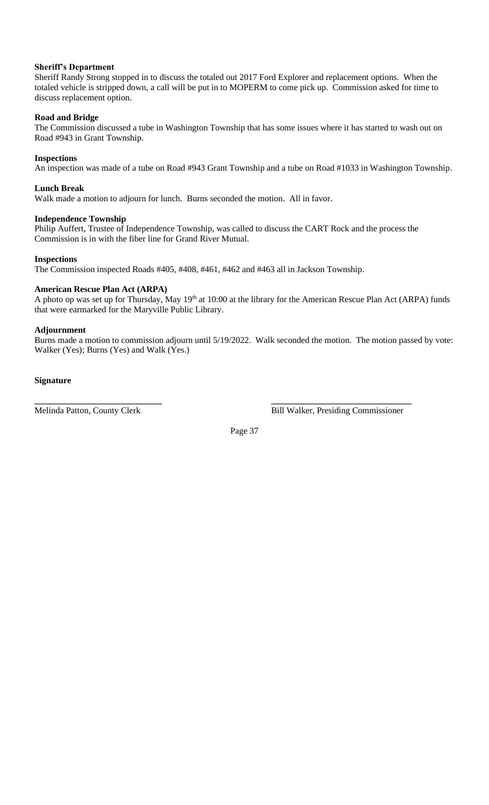# **Sheriff's Department**

Sheriff Randy Strong stopped in to discuss the totaled out 2017 Ford Explorer and replacement options. When the totaled vehicle is stripped down, a call will be put in to MOPERM to come pick up. Commission asked for time to discuss replacement option.

# **Road and Bridge**

The Commission discussed a tube in Washington Township that has some issues where it has started to wash out on Road #943 in Grant Township.

# **Inspections**

An inspection was made of a tube on Road #943 Grant Township and a tube on Road #1033 in Washington Township.

# **Lunch Break**

Walk made a motion to adjourn for lunch. Burns seconded the motion. All in favor.

# **Independence Township**

Philip Auffert, Trustee of Independence Township, was called to discuss the CART Rock and the process the Commission is in with the fiber line for Grand River Mutual.

# **Inspections**

The Commission inspected Roads #405, #408, #461, #462 and #463 all in Jackson Township.

# **American Rescue Plan Act (ARPA)**

A photo op was set up for Thursday, May 19<sup>th</sup> at 10:00 at the library for the American Rescue Plan Act (ARPA) funds that were earmarked for the Maryville Public Library.

# **Adjournment**

Burns made a motion to commission adjourn until 5/19/2022. Walk seconded the motion. The motion passed by vote: Walker (Yes); Burns (Yes) and Walk (Yes.)

**Signature**

Melinda Patton, County Clerk Bill Walker, Presiding Commissioner

Page 37

**\_\_\_\_\_\_\_\_\_\_\_\_\_\_\_\_\_\_\_\_\_\_\_\_\_\_\_\_\_ \_\_\_\_\_\_\_\_\_\_\_\_\_\_\_\_\_\_\_\_\_\_\_\_\_\_\_\_\_\_\_\_**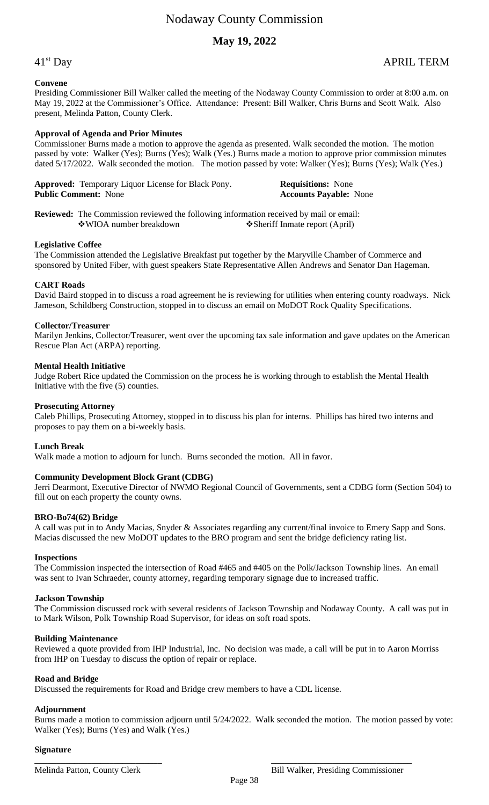# **May 19, 2022**

# 41st Day APRIL TERM

# **Convene**

Presiding Commissioner Bill Walker called the meeting of the Nodaway County Commission to order at 8:00 a.m. on May 19, 2022 at the Commissioner's Office. Attendance: Present: Bill Walker, Chris Burns and Scott Walk. Also present, Melinda Patton, County Clerk.

# **Approval of Agenda and Prior Minutes**

Commissioner Burns made a motion to approve the agenda as presented. Walk seconded the motion. The motion passed by vote: Walker (Yes); Burns (Yes); Walk (Yes.) Burns made a motion to approve prior commission minutes dated 5/17/2022. Walk seconded the motion. The motion passed by vote: Walker (Yes); Burns (Yes); Walk (Yes.)

**Approved:** Temporary Liquor License for Black Pony. **Requisitions:** None **Public Comment:** None **Requisitions: Accounts Payable: Public Comment:** None **Accounts Payable:** None

**Reviewed:** The Commission reviewed the following information received by mail or email: ❖WIOA number breakdown ❖Sheriff Inmate report (April)

# **Legislative Coffee**

The Commission attended the Legislative Breakfast put together by the Maryville Chamber of Commerce and sponsored by United Fiber, with guest speakers State Representative Allen Andrews and Senator Dan Hageman.

# **CART Roads**

David Baird stopped in to discuss a road agreement he is reviewing for utilities when entering county roadways. Nick Jameson, Schildberg Construction, stopped in to discuss an email on MoDOT Rock Quality Specifications.

## **Collector/Treasurer**

Marilyn Jenkins, Collector/Treasurer, went over the upcoming tax sale information and gave updates on the American Rescue Plan Act (ARPA) reporting.

## **Mental Health Initiative**

Judge Robert Rice updated the Commission on the process he is working through to establish the Mental Health Initiative with the five (5) counties.

## **Prosecuting Attorney**

Caleb Phillips, Prosecuting Attorney, stopped in to discuss his plan for interns. Phillips has hired two interns and proposes to pay them on a bi-weekly basis.

#### **Lunch Break**

Walk made a motion to adjourn for lunch. Burns seconded the motion. All in favor.

# **Community Development Block Grant (CDBG)**

Jerri Dearmont, Executive Director of NWMO Regional Council of Governments, sent a CDBG form (Section 504) to fill out on each property the county owns.

#### **BRO-Bo74(62) Bridge**

A call was put in to Andy Macias, Snyder & Associates regarding any current/final invoice to Emery Sapp and Sons. Macias discussed the new MoDOT updates to the BRO program and sent the bridge deficiency rating list.

#### **Inspections**

The Commission inspected the intersection of Road #465 and #405 on the Polk/Jackson Township lines. An email was sent to Ivan Schraeder, county attorney, regarding temporary signage due to increased traffic.

#### **Jackson Township**

The Commission discussed rock with several residents of Jackson Township and Nodaway County. A call was put in to Mark Wilson, Polk Township Road Supervisor, for ideas on soft road spots.

#### **Building Maintenance**

Reviewed a quote provided from IHP Industrial, Inc. No decision was made, a call will be put in to Aaron Morriss from IHP on Tuesday to discuss the option of repair or replace.

# **Road and Bridge**

Discussed the requirements for Road and Bridge crew members to have a CDL license.

# **Adjournment**

Burns made a motion to commission adjourn until 5/24/2022. Walk seconded the motion. The motion passed by vote: Walker (Yes); Burns (Yes) and Walk (Yes.)

## **Signature**

**\_\_\_\_\_\_\_\_\_\_\_\_\_\_\_\_\_\_\_\_\_\_\_\_\_\_\_\_\_ \_\_\_\_\_\_\_\_\_\_\_\_\_\_\_\_\_\_\_\_\_\_\_\_\_\_\_\_\_\_\_\_**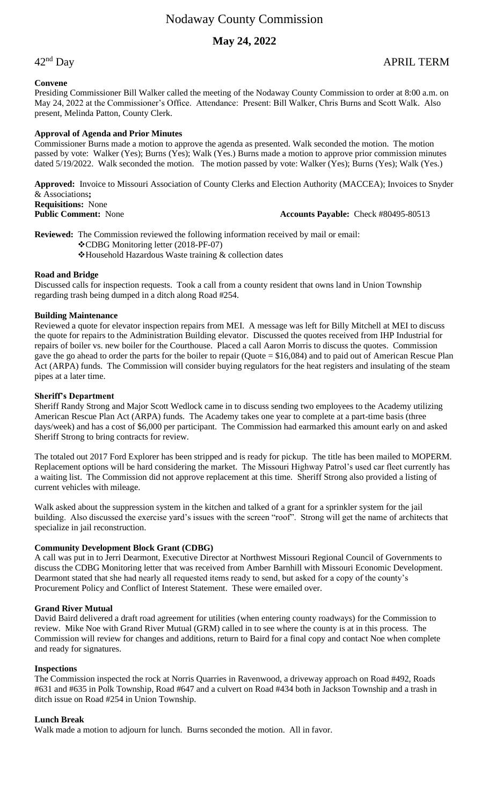# **May 24, 2022**

## **Convene**

Presiding Commissioner Bill Walker called the meeting of the Nodaway County Commission to order at 8:00 a.m. on May 24, 2022 at the Commissioner's Office. Attendance: Present: Bill Walker, Chris Burns and Scott Walk. Also present, Melinda Patton, County Clerk.

## **Approval of Agenda and Prior Minutes**

Commissioner Burns made a motion to approve the agenda as presented. Walk seconded the motion. The motion passed by vote: Walker (Yes); Burns (Yes); Walk (Yes.) Burns made a motion to approve prior commission minutes dated 5/19/2022. Walk seconded the motion. The motion passed by vote: Walker (Yes); Burns (Yes); Walk (Yes.)

**Approved:** Invoice to Missouri Association of County Clerks and Election Authority (MACCEA); Invoices to Snyder & Associations**; Requisitions:** None **Public Comment:** None **Accounts Payable:** Check #80495-80513

**Reviewed:** The Commission reviewed the following information received by mail or email: ❖CDBG Monitoring letter (2018-PF-07) ❖Household Hazardous Waste training & collection dates

# **Road and Bridge**

Discussed calls for inspection requests. Took a call from a county resident that owns land in Union Township regarding trash being dumped in a ditch along Road #254.

## **Building Maintenance**

Reviewed a quote for elevator inspection repairs from MEI. A message was left for Billy Mitchell at MEI to discuss the quote for repairs to the Administration Building elevator. Discussed the quotes received from IHP Industrial for repairs of boiler vs. new boiler for the Courthouse. Placed a call Aaron Morris to discuss the quotes. Commission gave the go ahead to order the parts for the boiler to repair (Quote = \$16,084) and to paid out of American Rescue Plan Act (ARPA) funds. The Commission will consider buying regulators for the heat registers and insulating of the steam pipes at a later time.

## **Sheriff's Department**

Sheriff Randy Strong and Major Scott Wedlock came in to discuss sending two employees to the Academy utilizing American Rescue Plan Act (ARPA) funds. The Academy takes one year to complete at a part-time basis (three days/week) and has a cost of \$6,000 per participant. The Commission had earmarked this amount early on and asked Sheriff Strong to bring contracts for review.

The totaled out 2017 Ford Explorer has been stripped and is ready for pickup. The title has been mailed to MOPERM. Replacement options will be hard considering the market. The Missouri Highway Patrol's used car fleet currently has a waiting list. The Commission did not approve replacement at this time. Sheriff Strong also provided a listing of current vehicles with mileage.

Walk asked about the suppression system in the kitchen and talked of a grant for a sprinkler system for the jail building. Also discussed the exercise yard's issues with the screen "roof". Strong will get the name of architects that specialize in jail reconstruction.

#### **Community Development Block Grant (CDBG)**

A call was put in to Jerri Dearmont, Executive Director at Northwest Missouri Regional Council of Governments to discuss the CDBG Monitoring letter that was received from Amber Barnhill with Missouri Economic Development. Dearmont stated that she had nearly all requested items ready to send, but asked for a copy of the county's Procurement Policy and Conflict of Interest Statement. These were emailed over.

#### **Grand River Mutual**

David Baird delivered a draft road agreement for utilities (when entering county roadways) for the Commission to review. Mike Noe with Grand River Mutual (GRM) called in to see where the county is at in this process. The Commission will review for changes and additions, return to Baird for a final copy and contact Noe when complete and ready for signatures.

#### **Inspections**

The Commission inspected the rock at Norris Quarries in Ravenwood, a driveway approach on Road #492, Roads #631 and #635 in Polk Township, Road #647 and a culvert on Road #434 both in Jackson Township and a trash in ditch issue on Road #254 in Union Township.

#### **Lunch Break**

Walk made a motion to adjourn for lunch. Burns seconded the motion. All in favor.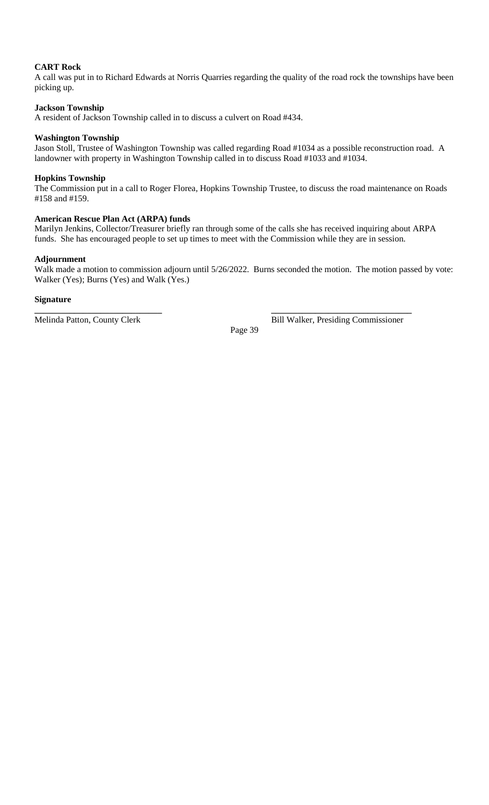# **CART Rock**

A call was put in to Richard Edwards at Norris Quarries regarding the quality of the road rock the townships have been picking up.

# **Jackson Township**

A resident of Jackson Township called in to discuss a culvert on Road #434.

# **Washington Township**

Jason Stoll, Trustee of Washington Township was called regarding Road #1034 as a possible reconstruction road. A landowner with property in Washington Township called in to discuss Road #1033 and #1034.

# **Hopkins Township**

The Commission put in a call to Roger Florea, Hopkins Township Trustee, to discuss the road maintenance on Roads #158 and #159.

# **American Rescue Plan Act (ARPA) funds**

Marilyn Jenkins, Collector/Treasurer briefly ran through some of the calls she has received inquiring about ARPA funds. She has encouraged people to set up times to meet with the Commission while they are in session.

# **Adjournment**

Walk made a motion to commission adjourn until 5/26/2022. Burns seconded the motion. The motion passed by vote: Walker (Yes); Burns (Yes) and Walk (Yes.)

# **Signature**

Page 39

**\_\_\_\_\_\_\_\_\_\_\_\_\_\_\_\_\_\_\_\_\_\_\_\_\_\_\_\_\_ \_\_\_\_\_\_\_\_\_\_\_\_\_\_\_\_\_\_\_\_\_\_\_\_\_\_\_\_\_\_\_\_** Melinda Patton, County Clerk Bill Walker, Presiding Commissioner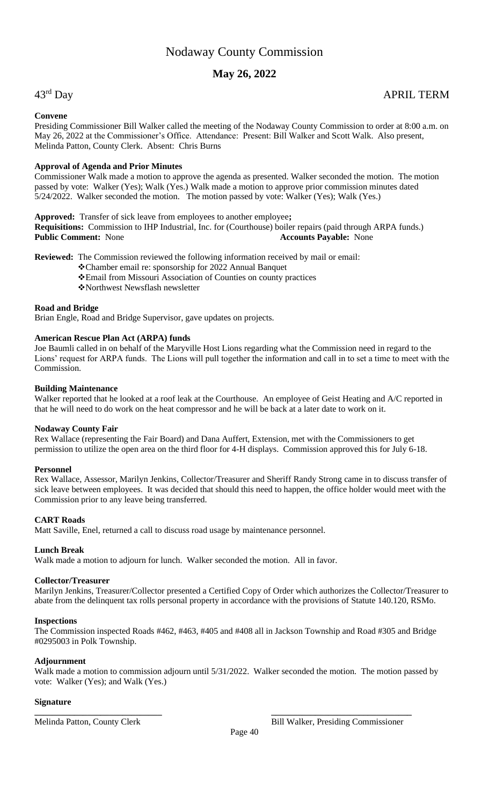# **May 26, 2022**

# 43rd Day

# APRIL TERM

# **Convene**

Presiding Commissioner Bill Walker called the meeting of the Nodaway County Commission to order at 8:00 a.m. on May 26, 2022 at the Commissioner's Office. Attendance: Present: Bill Walker and Scott Walk. Also present, Melinda Patton, County Clerk. Absent: Chris Burns

# **Approval of Agenda and Prior Minutes**

Commissioner Walk made a motion to approve the agenda as presented. Walker seconded the motion. The motion passed by vote: Walker (Yes); Walk (Yes.) Walk made a motion to approve prior commission minutes dated 5/24/2022. Walker seconded the motion. The motion passed by vote: Walker (Yes); Walk (Yes.)

**Approved:** Transfer of sick leave from employees to another employee**;**

**Requisitions:** Commission to IHP Industrial, Inc. for (Courthouse) boiler repairs (paid through ARPA funds.) **Public Comment:** None **Accounts Payable:** None

**Reviewed:** The Commission reviewed the following information received by mail or email:

- ❖Chamber email re: sponsorship for 2022 Annual Banquet
- ❖Email from Missouri Association of Counties on county practices
- ❖Northwest Newsflash newsletter

# **Road and Bridge**

Brian Engle, Road and Bridge Supervisor, gave updates on projects.

# **American Rescue Plan Act (ARPA) funds**

Joe Baumli called in on behalf of the Maryville Host Lions regarding what the Commission need in regard to the Lions' request for ARPA funds. The Lions will pull together the information and call in to set a time to meet with the Commission.

# **Building Maintenance**

Walker reported that he looked at a roof leak at the Courthouse. An employee of Geist Heating and A/C reported in that he will need to do work on the heat compressor and he will be back at a later date to work on it.

# **Nodaway County Fair**

Rex Wallace (representing the Fair Board) and Dana Auffert, Extension, met with the Commissioners to get permission to utilize the open area on the third floor for 4-H displays. Commission approved this for July 6-18.

# **Personnel**

Rex Wallace, Assessor, Marilyn Jenkins, Collector/Treasurer and Sheriff Randy Strong came in to discuss transfer of sick leave between employees. It was decided that should this need to happen, the office holder would meet with the Commission prior to any leave being transferred.

# **CART Roads**

Matt Saville, Enel, returned a call to discuss road usage by maintenance personnel.

# **Lunch Break**

Walk made a motion to adjourn for lunch. Walker seconded the motion. All in favor.

# **Collector/Treasurer**

Marilyn Jenkins, Treasurer/Collector presented a Certified Copy of Order which authorizes the Collector/Treasurer to abate from the delinquent tax rolls personal property in accordance with the provisions of Statute 140.120, RSMo.

# **Inspections**

The Commission inspected Roads #462, #463, #405 and #408 all in Jackson Township and Road #305 and Bridge #0295003 in Polk Township.

# **Adjournment**

Walk made a motion to commission adjourn until 5/31/2022. Walker seconded the motion. The motion passed by vote: Walker (Yes); and Walk (Yes.)

**\_\_\_\_\_\_\_\_\_\_\_\_\_\_\_\_\_\_\_\_\_\_\_\_\_\_\_\_\_ \_\_\_\_\_\_\_\_\_\_\_\_\_\_\_\_\_\_\_\_\_\_\_\_\_\_\_\_\_\_\_\_**

# **Signature**

Melinda Patton, County Clerk Bill Walker, Presiding Commissioner